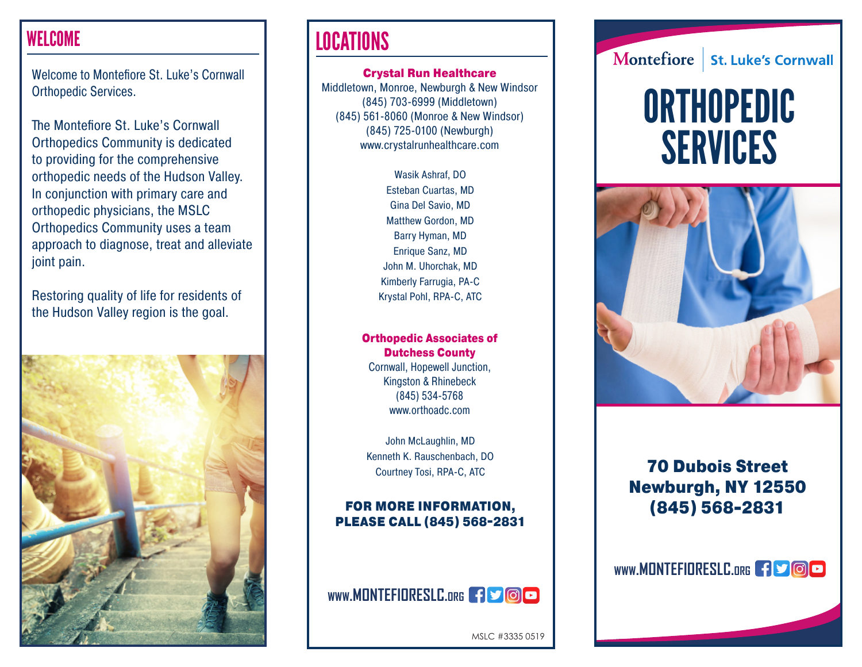### WELCOME

Welcome to Montefiore St. Luke's Cornwall Orthopedic Services.

The Montefiore St. Luke's Cornwall Orthopedics Community is dedicated to providing for the comprehensive orthopedic needs of the Hudson Valley. In conjunction with primary care and orthopedic physicians, the MSLC Orthopedics Community uses a team approach to diagnose, treat and alleviate joint pain.

Restoring quality of life for residents of the Hudson Valley region is the goal.



## **LOCATIONS**

Crystal Run Healthcare Middletown, Monroe, Newburgh & New Windsor (845) 703-6999 (Middletown) (845) 561-8060 (Monroe & New Windsor) (845) 725-0100 (Newburgh) www.crystalrunhealthcare.com

> Wasik Ashraf, DO Esteban Cuartas, MD Gina Del Savio, MD Matthew Gordon, MD Barry Hyman, MD Enrique Sanz, MD John M. Uhorchak, MD Kimberly Farrugia, PA-C Krystal Pohl, RPA-C, ATC

### Orthopedic Associates of Dutchess County

Cornwall, Hopewell Junction, Kingston & Rhinebeck (845) 534-5768 www.orthoadc.com

John McLaughlin, MD Kenneth K. Rauschenbach, DO Courtney Tosi, RPA-C, ATC

### FOR MORE INFORMATION, PLEASE CALL (845) 568-2831



Montefiore **St. Luke's Cornwall** 

# **ORTHOPEDIC** SERVICES



### 70 Dubois Street Newburgh, NY 12550 (845) 568-2831

### WWW.MONTEFIORESLC.org **3000**